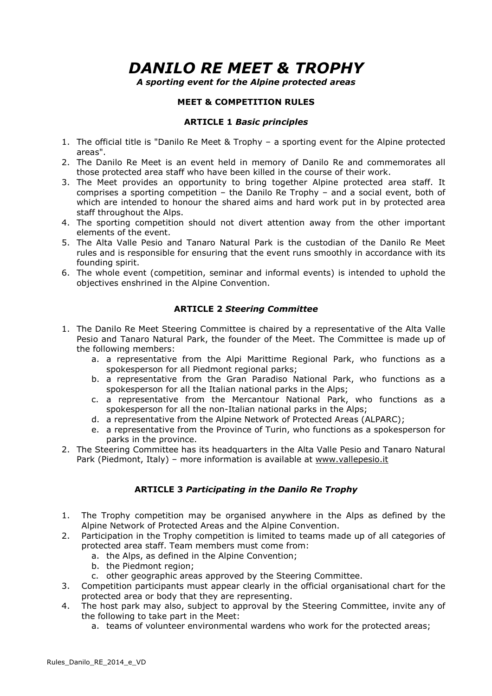# *DANILO RE MEET & TROPHY*

*A sporting event for the Alpine protected areas* 

## **MEET & COMPETITION RULES**

### **ARTICLE 1** *Basic principles*

- 1. The official title is "Danilo Re Meet & Trophy a sporting event for the Alpine protected areas".
- 2. The Danilo Re Meet is an event held in memory of Danilo Re and commemorates all those protected area staff who have been killed in the course of their work.
- 3. The Meet provides an opportunity to bring together Alpine protected area staff. It comprises a sporting competition – the Danilo Re Trophy – and a social event, both of which are intended to honour the shared aims and hard work put in by protected area staff throughout the Alps.
- 4. The sporting competition should not divert attention away from the other important elements of the event.
- 5. The Alta Valle Pesio and Tanaro Natural Park is the custodian of the Danilo Re Meet rules and is responsible for ensuring that the event runs smoothly in accordance with its founding spirit.
- 6. The whole event (competition, seminar and informal events) is intended to uphold the objectives enshrined in the Alpine Convention.

### **ARTICLE 2** *Steering Committee*

- 1. The Danilo Re Meet Steering Committee is chaired by a representative of the Alta Valle Pesio and Tanaro Natural Park, the founder of the Meet. The Committee is made up of the following members:
	- a. a representative from the Alpi Marittime Regional Park, who functions as a spokesperson for all Piedmont regional parks;
	- b. a representative from the Gran Paradiso National Park, who functions as a spokesperson for all the Italian national parks in the Alps;
	- c. a representative from the Mercantour National Park, who functions as a spokesperson for all the non-Italian national parks in the Alps;
	- d. a representative from the Alpine Network of Protected Areas (ALPARC);
	- e. a representative from the Province of Turin, who functions as a spokesperson for parks in the province.
- 2. The Steering Committee has its headquarters in the Alta Valle Pesio and Tanaro Natural Park (Piedmont, Italy) – more information is available at www.vallepesio.it

# **ARTICLE 3** *Participating in the Danilo Re Trophy*

- 1. The Trophy competition may be organised anywhere in the Alps as defined by the Alpine Network of Protected Areas and the Alpine Convention.
- 2. Participation in the Trophy competition is limited to teams made up of all categories of protected area staff. Team members must come from:
	- a. the Alps, as defined in the Alpine Convention;
	- b. the Piedmont region;
	- c. other geographic areas approved by the Steering Committee.
- 3. Competition participants must appear clearly in the official organisational chart for the protected area or body that they are representing.
- 4. The host park may also, subject to approval by the Steering Committee, invite any of the following to take part in the Meet:
	- a. teams of volunteer environmental wardens who work for the protected areas;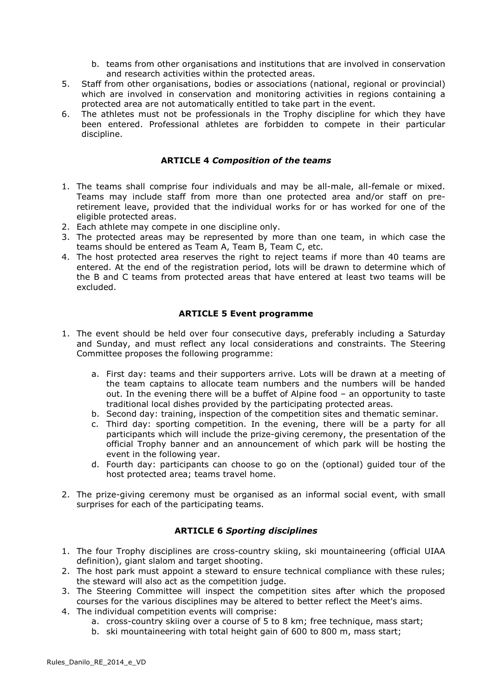- b. teams from other organisations and institutions that are involved in conservation and research activities within the protected areas.
- 5. Staff from other organisations, bodies or associations (national, regional or provincial) which are involved in conservation and monitoring activities in regions containing a protected area are not automatically entitled to take part in the event.
- 6. The athletes must not be professionals in the Trophy discipline for which they have been entered. Professional athletes are forbidden to compete in their particular discipline.

### **ARTICLE 4** *Composition of the teams*

- 1. The teams shall comprise four individuals and may be all-male, all-female or mixed. Teams may include staff from more than one protected area and/or staff on preretirement leave, provided that the individual works for or has worked for one of the eligible protected areas.
- 2. Each athlete may compete in one discipline only.
- 3. The protected areas may be represented by more than one team, in which case the teams should be entered as Team A, Team B, Team C, etc.
- 4. The host protected area reserves the right to reject teams if more than 40 teams are entered. At the end of the registration period, lots will be drawn to determine which of the B and C teams from protected areas that have entered at least two teams will be excluded.

### **ARTICLE 5 Event programme**

- 1. The event should be held over four consecutive days, preferably including a Saturday and Sunday, and must reflect any local considerations and constraints. The Steering Committee proposes the following programme:
	- a. First day: teams and their supporters arrive. Lots will be drawn at a meeting of the team captains to allocate team numbers and the numbers will be handed out. In the evening there will be a buffet of Alpine food – an opportunity to taste traditional local dishes provided by the participating protected areas.
	- b. Second day: training, inspection of the competition sites and thematic seminar.
	- c. Third day: sporting competition. In the evening, there will be a party for all participants which will include the prize-giving ceremony, the presentation of the official Trophy banner and an announcement of which park will be hosting the event in the following year.
	- d. Fourth day: participants can choose to go on the (optional) guided tour of the host protected area; teams travel home.
- 2. The prize-giving ceremony must be organised as an informal social event, with small surprises for each of the participating teams.

### **ARTICLE 6** *Sporting disciplines*

- 1. The four Trophy disciplines are cross-country skiing, ski mountaineering (official UIAA definition), giant slalom and target shooting.
- 2. The host park must appoint a steward to ensure technical compliance with these rules; the steward will also act as the competition judge.
- 3. The Steering Committee will inspect the competition sites after which the proposed courses for the various disciplines may be altered to better reflect the Meet's aims.
- 4. The individual competition events will comprise:
	- a. cross-country skiing over a course of 5 to 8 km; free technique, mass start;
	- b. ski mountaineering with total height gain of 600 to 800 m, mass start;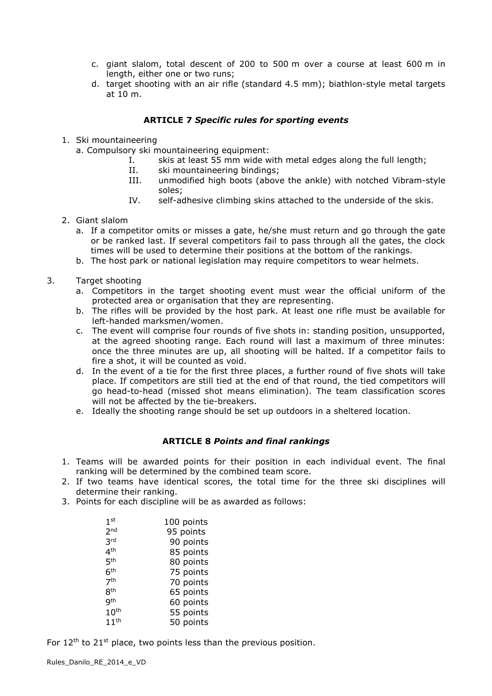- c. giant slalom, total descent of 200 to 500 m over a course at least 600 m in length, either one or two runs;
- d. target shooting with an air rifle (standard 4.5 mm); biathlon-style metal targets at 10 m.

## **ARTICLE 7** *Specific rules for sporting events*

- 1. Ski mountaineering
	- a. Compulsory ski mountaineering equipment:
		- I. skis at least 55 mm wide with metal edges along the full length;
		- II. ski mountaineering bindings;
		- III. unmodified high boots (above the ankle) with notched Vibram-style soles;
		- IV. self-adhesive climbing skins attached to the underside of the skis.
- 2. Giant slalom
	- a. If a competitor omits or misses a gate, he/she must return and go through the gate or be ranked last. If several competitors fail to pass through all the gates, the clock times will be used to determine their positions at the bottom of the rankings.
	- b. The host park or national legislation may require competitors to wear helmets.
- 3. Target shooting
	- a. Competitors in the target shooting event must wear the official uniform of the protected area or organisation that they are representing.
	- b. The rifles will be provided by the host park. At least one rifle must be available for left-handed marksmen/women.
	- c. The event will comprise four rounds of five shots in: standing position, unsupported, at the agreed shooting range. Each round will last a maximum of three minutes: once the three minutes are up, all shooting will be halted. If a competitor fails to fire a shot, it will be counted as void.
	- d. In the event of a tie for the first three places, a further round of five shots will take place. If competitors are still tied at the end of that round, the tied competitors will go head-to-head (missed shot means elimination). The team classification scores will not be affected by the tie-breakers.
	- e. Ideally the shooting range should be set up outdoors in a sheltered location.

# **ARTICLE 8** *Points and final rankings*

- 1. Teams will be awarded points for their position in each individual event. The final ranking will be determined by the combined team score.
- 2. If two teams have identical scores, the total time for the three ski disciplines will determine their ranking.
- 3. Points for each discipline will be as awarded as follows:

| 1 <sup>st</sup>  | 100 points |
|------------------|------------|
| 2 <sub>nd</sub>  | 95 points  |
| 3rd              | 90 points  |
| 4 <sup>th</sup>  | 85 points  |
| <b>5th</b>       | 80 points  |
| 6 <sup>th</sup>  | 75 points  |
| 7 <sup>th</sup>  | 70 points  |
| <b>8th</b>       | 65 points  |
| <b>gth</b>       | 60 points  |
| 10 <sup>th</sup> | 55 points  |
| 11 <sup>th</sup> | 50 points  |

For  $12<sup>th</sup>$  to  $21<sup>st</sup>$  place, two points less than the previous position.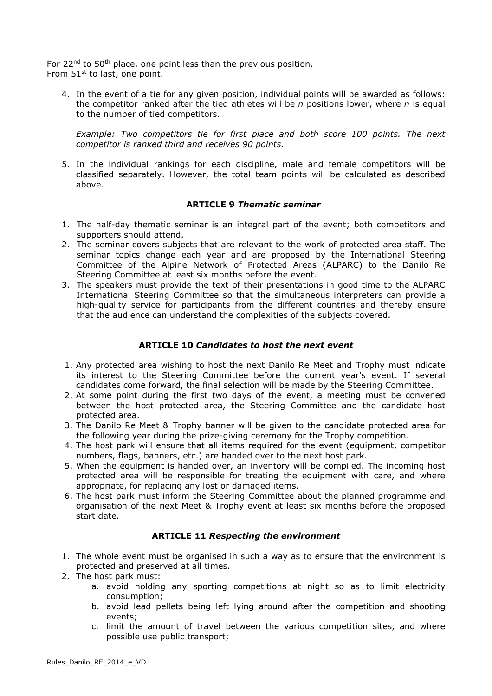For  $22^{nd}$  to  $50^{th}$  place, one point less than the previous position. From 51<sup>st</sup> to last, one point.

4. In the event of a tie for any given position, individual points will be awarded as follows: the competitor ranked after the tied athletes will be *n* positions lower, where *n* is equal to the number of tied competitors.

*Example: Two competitors tie for first place and both score 100 points. The next competitor is ranked third and receives 90 points.*

5. In the individual rankings for each discipline, male and female competitors will be classified separately. However, the total team points will be calculated as described above.

### **ARTICLE 9** *Thematic seminar*

- 1. The half-day thematic seminar is an integral part of the event; both competitors and supporters should attend.
- 2. The seminar covers subjects that are relevant to the work of protected area staff. The seminar topics change each year and are proposed by the International Steering Committee of the Alpine Network of Protected Areas (ALPARC) to the Danilo Re Steering Committee at least six months before the event.
- 3. The speakers must provide the text of their presentations in good time to the ALPARC International Steering Committee so that the simultaneous interpreters can provide a high-quality service for participants from the different countries and thereby ensure that the audience can understand the complexities of the subjects covered.

## **ARTICLE 10** *Candidates to host the next event*

- 1. Any protected area wishing to host the next Danilo Re Meet and Trophy must indicate its interest to the Steering Committee before the current year's event. If several candidates come forward, the final selection will be made by the Steering Committee.
- 2. At some point during the first two days of the event, a meeting must be convened between the host protected area, the Steering Committee and the candidate host protected area.
- 3. The Danilo Re Meet & Trophy banner will be given to the candidate protected area for the following year during the prize-giving ceremony for the Trophy competition.
- 4. The host park will ensure that all items required for the event (equipment, competitor numbers, flags, banners, etc.) are handed over to the next host park.
- 5. When the equipment is handed over, an inventory will be compiled. The incoming host protected area will be responsible for treating the equipment with care, and where appropriate, for replacing any lost or damaged items.
- 6. The host park must inform the Steering Committee about the planned programme and organisation of the next Meet & Trophy event at least six months before the proposed start date.

### **ARTICLE 11** *Respecting the environment*

- 1. The whole event must be organised in such a way as to ensure that the environment is protected and preserved at all times.
- 2. The host park must:
	- a. avoid holding any sporting competitions at night so as to limit electricity consumption;
	- b. avoid lead pellets being left lying around after the competition and shooting events;
	- c. limit the amount of travel between the various competition sites, and where possible use public transport;